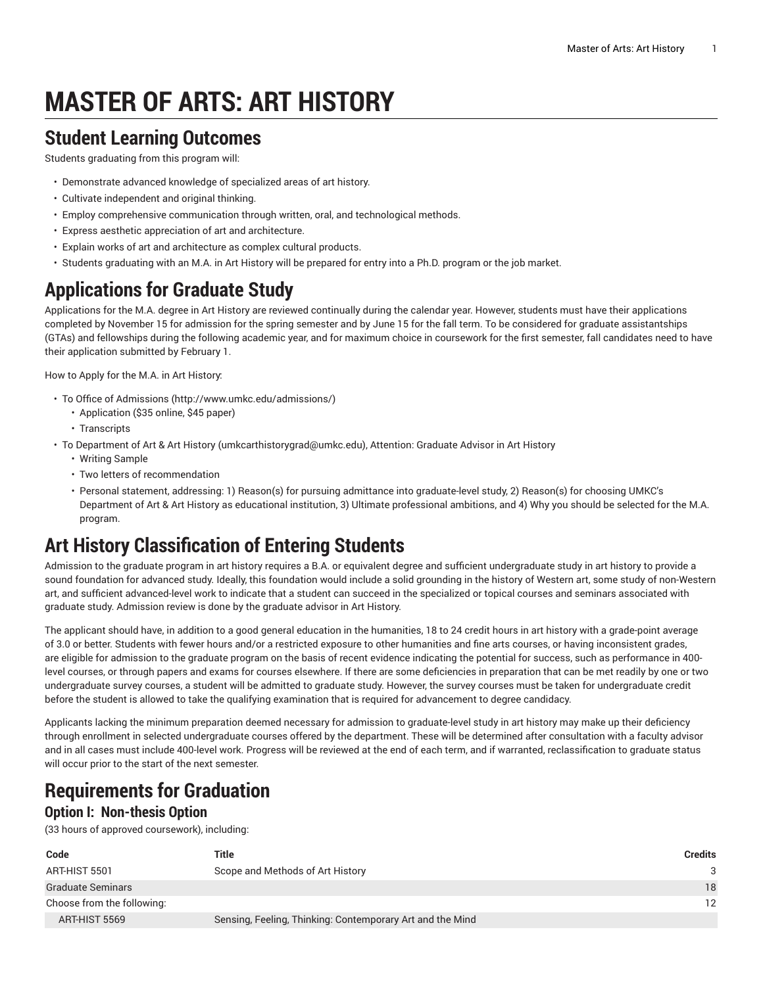# **MASTER OF ARTS: ART HISTORY**

### **Student Learning Outcomes**

Students graduating from this program will:

- Demonstrate advanced knowledge of specialized areas of art history.
- Cultivate independent and original thinking.
- Employ comprehensive communication through written, oral, and technological methods.
- Express aesthetic appreciation of art and architecture.
- Explain works of art and architecture as complex cultural products.
- Students graduating with an M.A. in Art History will be prepared for entry into a Ph.D. program or the job market.

### **Applications for Graduate Study**

Applications for the M.A. degree in Art History are reviewed continually during the calendar year. However, students must have their applications completed by November 15 for admission for the spring semester and by June 15 for the fall term. To be considered for graduate assistantships (GTAs) and fellowships during the following academic year, and for maximum choice in coursework for the first semester, fall candidates need to have their application submitted by February 1.

How to Apply for the M.A. in Art History:

- To [Office of Admissions \(http://www.umkc.edu/admissions/\)](http://www.umkc.edu/admissions/)
	- Application (\$35 online, \$45 paper)
	- Transcripts
- To [Department](mailto:umkcarthistorygrad@umkc.edu) of Art & Art History ([umkcarthistorygrad@umkc.edu\)](umkcarthistorygrad@umkc.edu), Attention: Graduate Advisor in Art History
	- Writing Sample
	- Two letters of recommendation
	- Personal statement, addressing: 1) Reason(s) for pursuing admittance into graduate-level study, 2) Reason(s) for choosing UMKC's Department of Art & Art History as educational institution, 3) Ultimate professional ambitions, and 4) Why you should be selected for the M.A. program.

## **Art History Classification of Entering Students**

Admission to the graduate program in art history requires a B.A. or equivalent degree and sufficient undergraduate study in art history to provide a sound foundation for advanced study. Ideally, this foundation would include a solid grounding in the history of Western art, some study of non-Western art, and sufficient advanced-level work to indicate that a student can succeed in the specialized or topical courses and seminars associated with graduate study. Admission review is done by the graduate advisor in Art History.

The applicant should have, in addition to a good general education in the humanities, 18 to 24 credit hours in art history with a grade-point average of 3.0 or better. Students with fewer hours and/or a restricted exposure to other humanities and fine arts courses, or having inconsistent grades, are eligible for admission to the graduate program on the basis of recent evidence indicating the potential for success, such as performance in 400 level courses, or through papers and exams for courses elsewhere. If there are some deficiencies in preparation that can be met readily by one or two undergraduate survey courses, a student will be admitted to graduate study. However, the survey courses must be taken for undergraduate credit before the student is allowed to take the qualifying examination that is required for advancement to degree candidacy.

Applicants lacking the minimum preparation deemed necessary for admission to graduate-level study in art history may make up their deficiency through enrollment in selected undergraduate courses offered by the department. These will be determined after consultation with a faculty advisor and in all cases must include 400-level work. Progress will be reviewed at the end of each term, and if warranted, reclassification to graduate status will occur prior to the start of the next semester.

## **Requirements for Graduation**

#### **Option I: Non-thesis Option**

(33 hours of approved coursework), including:

| Code                       | Title                                                     | <b>Credits</b> |
|----------------------------|-----------------------------------------------------------|----------------|
| ART-HIST 5501              | Scope and Methods of Art History                          | 3              |
| Graduate Seminars          |                                                           | 18             |
| Choose from the following: |                                                           | 12             |
| ART-HIST 5569              | Sensing, Feeling, Thinking: Contemporary Art and the Mind |                |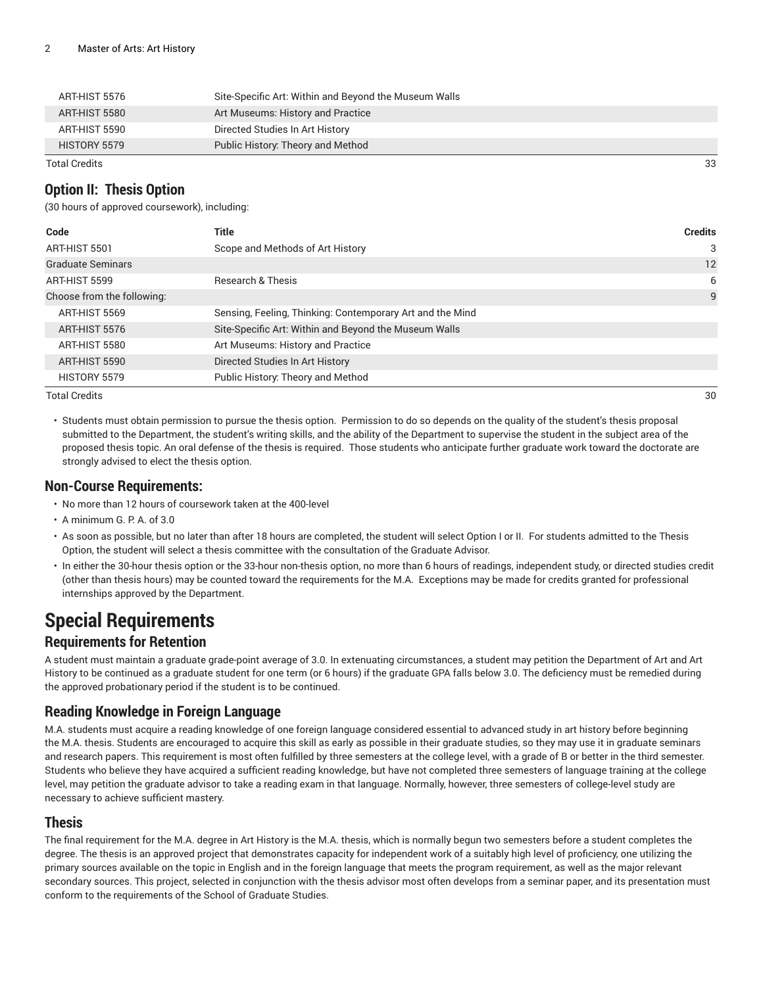| Total Credits |                                                       | 33 |
|---------------|-------------------------------------------------------|----|
| HISTORY 5579  | Public History: Theory and Method                     |    |
| ART-HIST 5590 | Directed Studies In Art History                       |    |
| ART-HIST 5580 | Art Museums: History and Practice                     |    |
| ART-HIST 5576 | Site-Specific Art: Within and Beyond the Museum Walls |    |

#### **Option II: Thesis Option**

(30 hours of approved coursework), including:

| Code                       | Title                                                     | <b>Credits</b> |
|----------------------------|-----------------------------------------------------------|----------------|
| ART-HIST 5501              | Scope and Methods of Art History                          | 3              |
| <b>Graduate Seminars</b>   |                                                           | 12             |
| ART-HIST 5599              | <b>Research &amp; Thesis</b>                              | 6              |
| Choose from the following: |                                                           | 9              |
| ART-HIST 5569              | Sensing, Feeling, Thinking: Contemporary Art and the Mind |                |
| ART-HIST 5576              | Site-Specific Art: Within and Beyond the Museum Walls     |                |
| ART-HIST 5580              | Art Museums: History and Practice                         |                |
| ART-HIST 5590              | Directed Studies In Art History                           |                |
| HISTORY 5579               | Public History: Theory and Method                         |                |

Total Credits 30

• Students must obtain permission to pursue the thesis option. Permission to do so depends on the quality of the student's thesis proposal submitted to the Department, the student's writing skills, and the ability of the Department to supervise the student in the subject area of the proposed thesis topic. An oral defense of the thesis is required. Those students who anticipate further graduate work toward the doctorate are strongly advised to elect the thesis option.

#### **Non-Course Requirements:**

- No more than 12 hours of coursework taken at the 400-level
- A minimum G. P. A. of 3.0
- As soon as possible, but no later than after 18 hours are completed, the student will select Option I or II. For students admitted to the Thesis Option, the student will select a thesis committee with the consultation of the Graduate Advisor.
- In either the 30-hour thesis option or the 33-hour non-thesis option, no more than 6 hours of readings, independent study, or directed studies credit (other than thesis hours) may be counted toward the requirements for the M.A. Exceptions may be made for credits granted for professional internships approved by the Department.

### **Special Requirements**

#### **Requirements for Retention**

A student must maintain a graduate grade-point average of 3.0. In extenuating circumstances, a student may petition the Department of Art and Art History to be continued as a graduate student for one term (or 6 hours) if the graduate GPA falls below 3.0. The deficiency must be remedied during the approved probationary period if the student is to be continued.

#### **Reading Knowledge in Foreign Language**

M.A. students must acquire a reading knowledge of one foreign language considered essential to advanced study in art history before beginning the M.A. thesis. Students are encouraged to acquire this skill as early as possible in their graduate studies, so they may use it in graduate seminars and research papers. This requirement is most often fulfilled by three semesters at the college level, with a grade of B or better in the third semester. Students who believe they have acquired a sufficient reading knowledge, but have not completed three semesters of language training at the college level, may petition the graduate advisor to take a reading exam in that language. Normally, however, three semesters of college-level study are necessary to achieve sufficient mastery.

#### **Thesis**

The final requirement for the M.A. degree in Art History is the M.A. thesis, which is normally begun two semesters before a student completes the degree. The thesis is an approved project that demonstrates capacity for independent work of a suitably high level of proficiency, one utilizing the primary sources available on the topic in English and in the foreign language that meets the program requirement, as well as the major relevant secondary sources. This project, selected in conjunction with the thesis advisor most often develops from a seminar paper, and its presentation must conform to the requirements of the School of Graduate Studies.